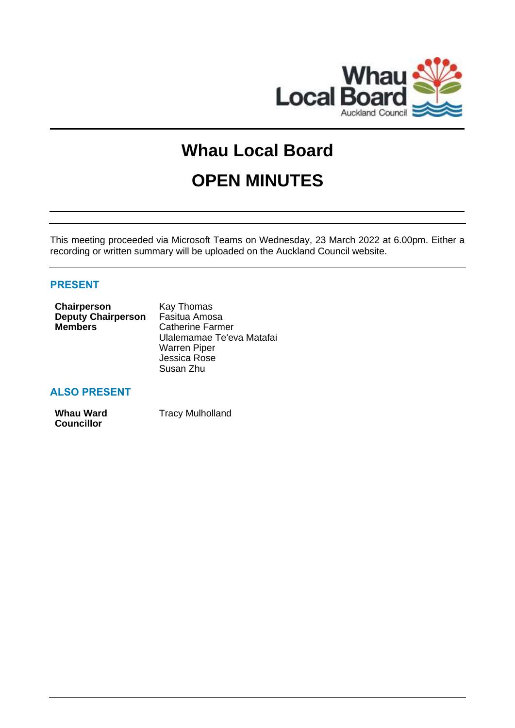

# **Whau Local Board OPEN MINUTES**

This meeting proceeded via Microsoft Teams on Wednesday, 23 March 2022 at 6.00pm. Either a recording or written summary will be uploaded on the Auckland Council website.

# **PRESENT**

| Kay Thomas                |  |
|---------------------------|--|
| Fasitua Amosa             |  |
| <b>Catherine Farmer</b>   |  |
| Ulalemamae Te'eva Matafai |  |
| <b>Warren Piper</b>       |  |
| Jessica Rose              |  |
| Susan Zhu                 |  |
|                           |  |

# **ALSO PRESENT**

| <b>Whau Ward</b>  | <b>Tracy Mulholland</b> |
|-------------------|-------------------------|
| <b>Councillor</b> |                         |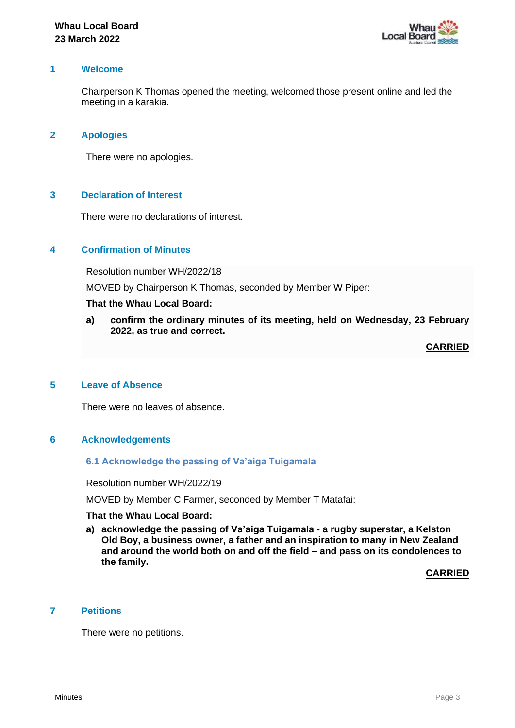

# **1 Welcome**

Chairperson K Thomas opened the meeting, welcomed those present online and led the meeting in a karakia.

# **2 Apologies**

There were no apologies.

# **3 Declaration of Interest**

There were no declarations of interest.

# **4 Confirmation of Minutes**

Resolution number WH/2022/18

MOVED by Chairperson K Thomas, seconded by Member W Piper:

### **That the Whau Local Board:**

**a) confirm the ordinary minutes of its meeting, held on Wednesday, 23 February 2022, as true and correct.**

**CARRIED**

# **5 Leave of Absence**

There were no leaves of absence.

#### **6 Acknowledgements**

#### **6.1 Acknowledge the passing of Va'aiga Tuigamala**

Resolution number WH/2022/19

MOVED by Member C Farmer, seconded by Member T Matafai:

#### **That the Whau Local Board:**

**a) acknowledge the passing of Va'aiga Tuigamala - a rugby superstar, a Kelston Old Boy, a business owner, a father and an inspiration to many in New Zealand and around the world both on and off the field – and pass on its condolences to the family.**

**CARRIED**

# **7 Petitions**

There were no petitions.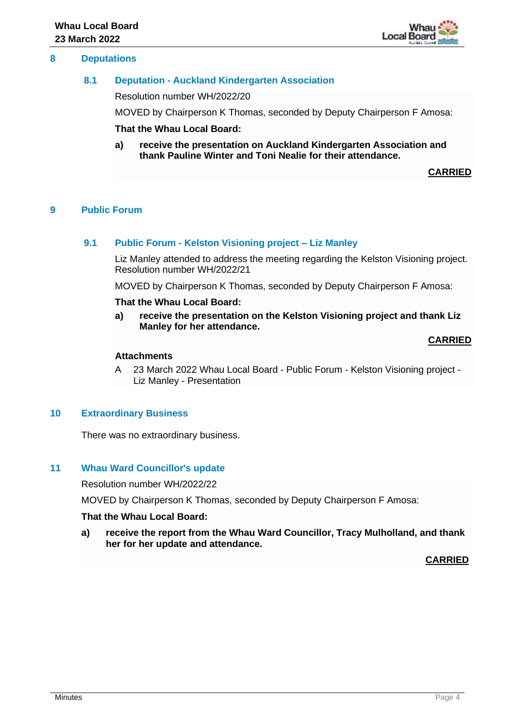# **8 Deputations**

# **8.1 Deputation - Auckland Kindergarten Association**

Resolution number WH/2022/20

MOVED by Chairperson K Thomas, seconded by Deputy Chairperson F Amosa:

**That the Whau Local Board:**

**a) receive the presentation on Auckland Kindergarten Association and thank Pauline Winter and Toni Nealie for their attendance.**

**CARRIED**

# **9 Public Forum**

### **9.1 Public Forum - Kelston Visioning project – Liz Manley**

Liz Manley attended to address the meeting regarding the Kelston Visioning project. Resolution number WH/2022/21

MOVED by Chairperson K Thomas, seconded by Deputy Chairperson F Amosa:

#### **That the Whau Local Board:**

**a) receive the presentation on the Kelston Visioning project and thank Liz Manley for her attendance.**

#### **CARRIED**

# **Attachments**

A 23 March 2022 Whau Local Board - Public Forum - Kelston Visioning project - Liz Manley - Presentation

# **10 Extraordinary Business**

There was no extraordinary business.

# **11 Whau Ward Councillor's update**

Resolution number WH/2022/22

MOVED by Chairperson K Thomas, seconded by Deputy Chairperson F Amosa:

#### **That the Whau Local Board:**

**a) receive the report from the Whau Ward Councillor, Tracy Mulholland, and thank her for her update and attendance.**

#### **CARRIED**

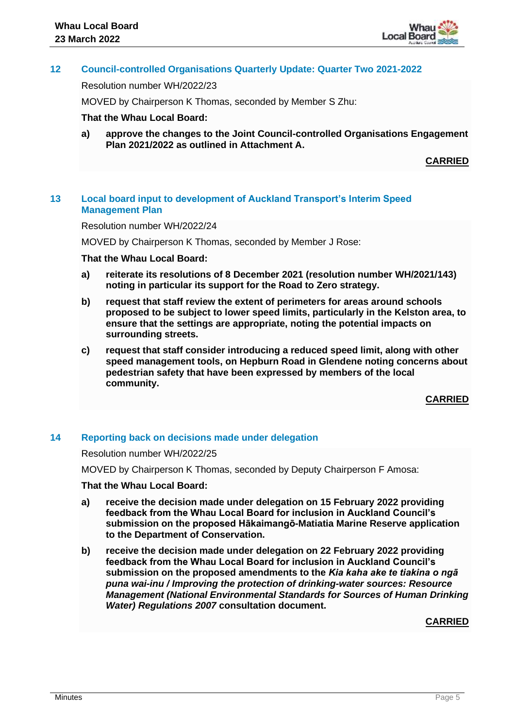# **12 Council-controlled Organisations Quarterly Update: Quarter Two 2021-2022**

Resolution number WH/2022/23

MOVED by Chairperson K Thomas, seconded by Member S Zhu:

### **That the Whau Local Board:**

**a) approve the changes to the Joint Council-controlled Organisations Engagement Plan 2021/2022 as outlined in Attachment A.**

**CARRIED**

# **13 Local board input to development of Auckland Transport's Interim Speed Management Plan**

Resolution number WH/2022/24

MOVED by Chairperson K Thomas, seconded by Member J Rose:

#### **That the Whau Local Board:**

- **a) reiterate its resolutions of 8 December 2021 (resolution number WH/2021/143) noting in particular its support for the Road to Zero strategy.**
- **b) request that staff review the extent of perimeters for areas around schools proposed to be subject to lower speed limits, particularly in the Kelston area, to ensure that the settings are appropriate, noting the potential impacts on surrounding streets.**
- **c) request that staff consider introducing a reduced speed limit, along with other speed management tools, on Hepburn Road in Glendene noting concerns about pedestrian safety that have been expressed by members of the local community.**

**CARRIED**

#### **14 Reporting back on decisions made under delegation**

Resolution number WH/2022/25

MOVED by Chairperson K Thomas, seconded by Deputy Chairperson F Amosa:

#### **That the Whau Local Board:**

- **a) receive the decision made under delegation on 15 February 2022 providing feedback from the Whau Local Board for inclusion in Auckland Council's submission on the proposed Hākaimangō-Matiatia Marine Reserve application to the Department of Conservation.**
- **b) receive the decision made under delegation on 22 February 2022 providing feedback from the Whau Local Board for inclusion in Auckland Council's submission on the proposed amendments to the** *Kia kaha ake te tiakina o ngā puna wai-inu / Improving the protection of drinking-water sources: Resource Management (National Environmental Standards for Sources of Human Drinking Water) Regulations 2007* **consultation document.**

**CARRIED**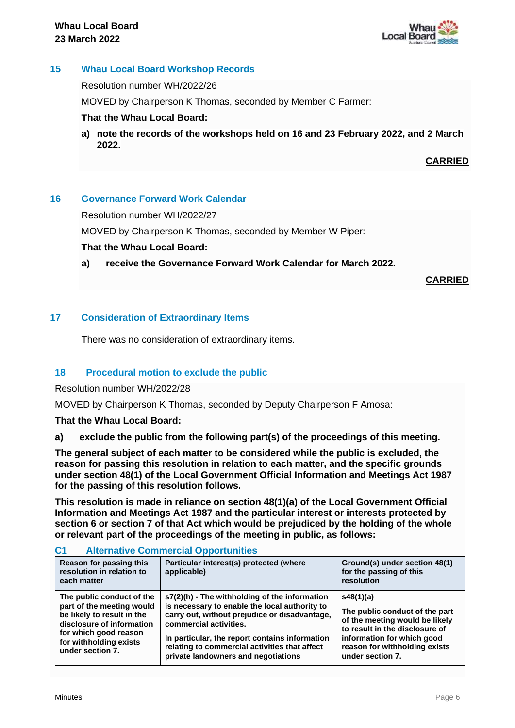

# **15 Whau Local Board Workshop Records**

Resolution number WH/2022/26

MOVED by Chairperson K Thomas, seconded by Member C Farmer:

# **That the Whau Local Board:**

**a) note the records of the workshops held on 16 and 23 February 2022, and 2 March 2022.**

**CARRIED**

# **16 Governance Forward Work Calendar**

Resolution number WH/2022/27

MOVED by Chairperson K Thomas, seconded by Member W Piper:

# **That the Whau Local Board:**

**a) receive the Governance Forward Work Calendar for March 2022.**

**CARRIED**

# **17 Consideration of Extraordinary Items**

There was no consideration of extraordinary items.

# **18 Procedural motion to exclude the public**

Resolution number WH/2022/28

MOVED by Chairperson K Thomas, seconded by Deputy Chairperson F Amosa:

**That the Whau Local Board:**

**a) exclude the public from the following part(s) of the proceedings of this meeting.**

**The general subject of each matter to be considered while the public is excluded, the reason for passing this resolution in relation to each matter, and the specific grounds under section 48(1) of the Local Government Official Information and Meetings Act 1987 for the passing of this resolution follows.**

**This resolution is made in reliance on section 48(1)(a) of the Local Government Official Information and Meetings Act 1987 and the particular interest or interests protected by section 6 or section 7 of that Act which would be prejudiced by the holding of the whole or relevant part of the proceedings of the meeting in public, as follows:**

| Reason for passing this<br>resolution in relation to<br>each matter                                                                                                                      | Particular interest(s) protected (where<br>applicable)                                                                                                                                                                                                                                                              | Ground(s) under section 48(1)<br>for the passing of this<br>resolution                                                                                                                             |  |
|------------------------------------------------------------------------------------------------------------------------------------------------------------------------------------------|---------------------------------------------------------------------------------------------------------------------------------------------------------------------------------------------------------------------------------------------------------------------------------------------------------------------|----------------------------------------------------------------------------------------------------------------------------------------------------------------------------------------------------|--|
| The public conduct of the<br>part of the meeting would<br>be likely to result in the<br>disclosure of information<br>for which good reason<br>for withholding exists<br>under section 7. | s7(2)(h) - The withholding of the information<br>is necessary to enable the local authority to<br>carry out, without prejudice or disadvantage,<br>commercial activities.<br>In particular, the report contains information<br>relating to commercial activities that affect<br>private landowners and negotiations | s48(1)(a)<br>The public conduct of the part<br>of the meeting would be likely<br>to result in the disclosure of<br>information for which good<br>reason for withholding exists<br>under section 7. |  |

# **C1 Alternative Commercial Opportunities**